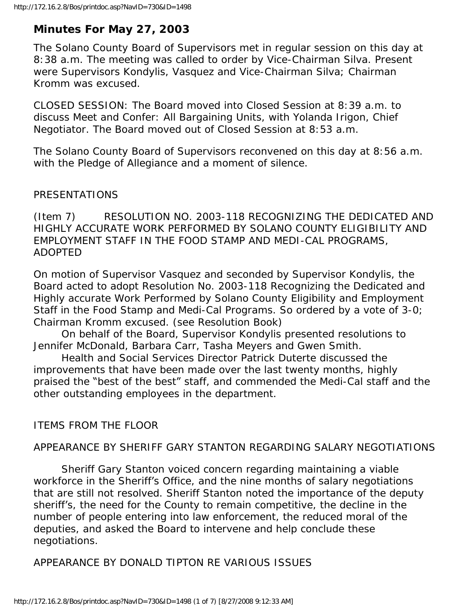# **Minutes For May 27, 2003**

The Solano County Board of Supervisors met in regular session on this day at 8:38 a.m. The meeting was called to order by Vice-Chairman Silva. Present were Supervisors Kondylis, Vasquez and Vice-Chairman Silva; Chairman Kromm was excused.

CLOSED SESSION: The Board moved into Closed Session at 8:39 a.m. to discuss Meet and Confer: All Bargaining Units, with Yolanda Irigon, Chief Negotiator. The Board moved out of Closed Session at 8:53 a.m.

The Solano County Board of Supervisors reconvened on this day at 8:56 a.m. with the Pledge of Allegiance and a moment of silence.

# PRESENTATIONS

(Item 7) RESOLUTION NO. 2003-118 RECOGNIZING THE DEDICATED AND HIGHLY ACCURATE WORK PERFORMED BY SOLANO COUNTY ELIGIBILITY AND EMPLOYMENT STAFF IN THE FOOD STAMP AND MEDI-CAL PROGRAMS, ADOPTED

On motion of Supervisor Vasquez and seconded by Supervisor Kondylis, the Board acted to adopt Resolution No. 2003-118 Recognizing the Dedicated and Highly accurate Work Performed by Solano County Eligibility and Employment Staff in the Food Stamp and Medi-Cal Programs. So ordered by a vote of 3-0; Chairman Kromm excused. (see Resolution Book)

 On behalf of the Board, Supervisor Kondylis presented resolutions to Jennifer McDonald, Barbara Carr, Tasha Meyers and Gwen Smith.

 Health and Social Services Director Patrick Duterte discussed the improvements that have been made over the last twenty months, highly praised the "best of the best" staff, and commended the Medi-Cal staff and the other outstanding employees in the department.

# ITEMS FROM THE FLOOR

# APPEARANCE BY SHERIFF GARY STANTON REGARDING SALARY NEGOTIATIONS

 Sheriff Gary Stanton voiced concern regarding maintaining a viable workforce in the Sheriff's Office, and the nine months of salary negotiations that are still not resolved. Sheriff Stanton noted the importance of the deputy sheriff's, the need for the County to remain competitive, the decline in the number of people entering into law enforcement, the reduced moral of the deputies, and asked the Board to intervene and help conclude these negotiations.

APPEARANCE BY DONALD TIPTON RE VARIOUS ISSUES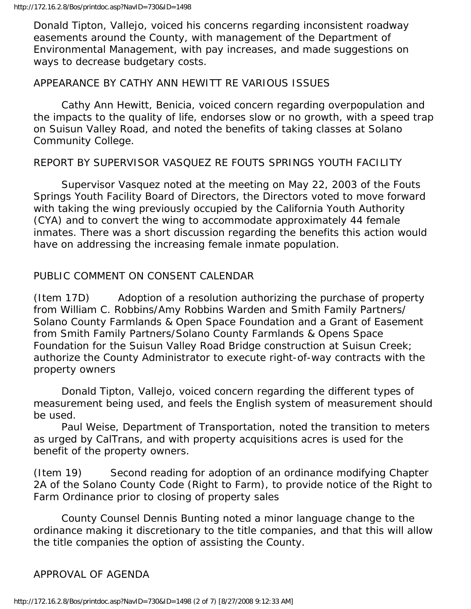Donald Tipton, Vallejo, voiced his concerns regarding inconsistent roadway easements around the County, with management of the Department of Environmental Management, with pay increases, and made suggestions on ways to decrease budgetary costs.

#### APPEARANCE BY CATHY ANN HEWITT RE VARIOUS ISSUES

 Cathy Ann Hewitt, Benicia, voiced concern regarding overpopulation and the impacts to the quality of life, endorses slow or no growth, with a speed trap on Suisun Valley Road, and noted the benefits of taking classes at Solano Community College.

#### REPORT BY SUPERVISOR VASQUEZ RE FOUTS SPRINGS YOUTH FACILITY

 Supervisor Vasquez noted at the meeting on May 22, 2003 of the Fouts Springs Youth Facility Board of Directors, the Directors voted to move forward with taking the wing previously occupied by the California Youth Authority (CYA) and to convert the wing to accommodate approximately 44 female inmates. There was a short discussion regarding the benefits this action would have on addressing the increasing female inmate population.

# PUBLIC COMMENT ON CONSENT CALENDAR

(Item 17D) Adoption of a resolution authorizing the purchase of property from William C. Robbins/Amy Robbins Warden and Smith Family Partners/ Solano County Farmlands & Open Space Foundation and a Grant of Easement from Smith Family Partners/Solano County Farmlands & Opens Space Foundation for the Suisun Valley Road Bridge construction at Suisun Creek; authorize the County Administrator to execute right-of-way contracts with the property owners

 Donald Tipton, Vallejo, voiced concern regarding the different types of measurement being used, and feels the English system of measurement should be used.

 Paul Weise, Department of Transportation, noted the transition to meters as urged by CalTrans, and with property acquisitions acres is used for the benefit of the property owners.

(Item 19) Second reading for adoption of an ordinance modifying Chapter 2A of the Solano County Code (Right to Farm), to provide notice of the Right to Farm Ordinance prior to closing of property sales

 County Counsel Dennis Bunting noted a minor language change to the ordinance making it discretionary to the title companies, and that this will allow the title companies the option of assisting the County.

#### APPROVAL OF AGENDA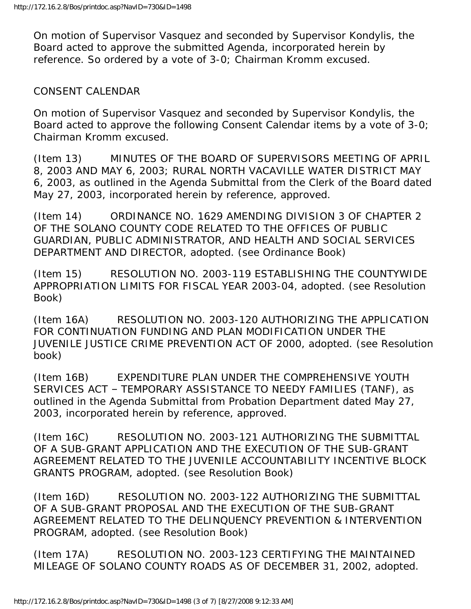On motion of Supervisor Vasquez and seconded by Supervisor Kondylis, the Board acted to approve the submitted Agenda, incorporated herein by reference. So ordered by a vote of 3-0; Chairman Kromm excused.

#### CONSENT CALENDAR

On motion of Supervisor Vasquez and seconded by Supervisor Kondylis, the Board acted to approve the following Consent Calendar items by a vote of 3-0; Chairman Kromm excused.

(Item 13) MINUTES OF THE BOARD OF SUPERVISORS MEETING OF APRIL 8, 2003 AND MAY 6, 2003; RURAL NORTH VACAVILLE WATER DISTRICT MAY 6, 2003, as outlined in the Agenda Submittal from the Clerk of the Board dated May 27, 2003, incorporated herein by reference, approved.

(Item 14) ORDINANCE NO. 1629 AMENDING DIVISION 3 OF CHAPTER 2 OF THE SOLANO COUNTY CODE RELATED TO THE OFFICES OF PUBLIC GUARDIAN, PUBLIC ADMINISTRATOR, AND HEALTH AND SOCIAL SERVICES DEPARTMENT AND DIRECTOR, adopted. (see Ordinance Book)

(Item 15) RESOLUTION NO. 2003-119 ESTABLISHING THE COUNTYWIDE APPROPRIATION LIMITS FOR FISCAL YEAR 2003-04, adopted. (see Resolution Book)

(Item 16A) RESOLUTION NO. 2003-120 AUTHORIZING THE APPLICATION FOR CONTINUATION FUNDING AND PLAN MODIFICATION UNDER THE JUVENILE JUSTICE CRIME PREVENTION ACT OF 2000, adopted. (see Resolution book)

(Item 16B) EXPENDITURE PLAN UNDER THE COMPREHENSIVE YOUTH SERVICES ACT – TEMPORARY ASSISTANCE TO NEEDY FAMILIES (TANF), as outlined in the Agenda Submittal from Probation Department dated May 27, 2003, incorporated herein by reference, approved.

(Item 16C) RESOLUTION NO. 2003-121 AUTHORIZING THE SUBMITTAL OF A SUB-GRANT APPLICATION AND THE EXECUTION OF THE SUB-GRANT AGREEMENT RELATED TO THE JUVENILE ACCOUNTABILITY INCENTIVE BLOCK GRANTS PROGRAM, adopted. (see Resolution Book)

(Item 16D) RESOLUTION NO. 2003-122 AUTHORIZING THE SUBMITTAL OF A SUB-GRANT PROPOSAL AND THE EXECUTION OF THE SUB-GRANT AGREEMENT RELATED TO THE DELINQUENCY PREVENTION & INTERVENTION PROGRAM, adopted. (see Resolution Book)

(Item 17A) RESOLUTION NO. 2003-123 CERTIFYING THE MAINTAINED MILEAGE OF SOLANO COUNTY ROADS AS OF DECEMBER 31, 2002, adopted.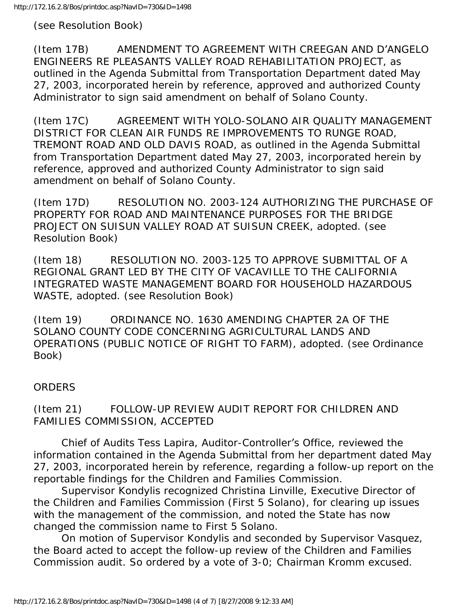(see Resolution Book)

(Item 17B) AMENDMENT TO AGREEMENT WITH CREEGAN AND D'ANGELO ENGINEERS RE PLEASANTS VALLEY ROAD REHABILITATION PROJECT, as outlined in the Agenda Submittal from Transportation Department dated May 27, 2003, incorporated herein by reference, approved and authorized County Administrator to sign said amendment on behalf of Solano County.

(Item 17C) AGREEMENT WITH YOLO-SOLANO AIR QUALITY MANAGEMENT DISTRICT FOR CLEAN AIR FUNDS RE IMPROVEMENTS TO RUNGE ROAD, TREMONT ROAD AND OLD DAVIS ROAD, as outlined in the Agenda Submittal from Transportation Department dated May 27, 2003, incorporated herein by reference, approved and authorized County Administrator to sign said amendment on behalf of Solano County.

(Item 17D) RESOLUTION NO. 2003-124 AUTHORIZING THE PURCHASE OF PROPERTY FOR ROAD AND MAINTENANCE PURPOSES FOR THE BRIDGE PROJECT ON SUISUN VALLEY ROAD AT SUISUN CREEK, adopted. (see Resolution Book)

(Item 18) RESOLUTION NO. 2003-125 TO APPROVE SUBMITTAL OF A REGIONAL GRANT LED BY THE CITY OF VACAVILLE TO THE CALIFORNIA INTEGRATED WASTE MANAGEMENT BOARD FOR HOUSEHOLD HAZARDOUS WASTE, adopted. (see Resolution Book)

(Item 19) ORDINANCE NO. 1630 AMENDING CHAPTER 2A OF THE SOLANO COUNTY CODE CONCERNING AGRICULTURAL LANDS AND OPERATIONS (PUBLIC NOTICE OF RIGHT TO FARM), adopted. (see Ordinance Book)

# **ORDERS**

(Item 21) FOLLOW-UP REVIEW AUDIT REPORT FOR CHILDREN AND FAMILIES COMMISSION, ACCEPTED

 Chief of Audits Tess Lapira, Auditor-Controller's Office, reviewed the information contained in the Agenda Submittal from her department dated May 27, 2003, incorporated herein by reference, regarding a follow-up report on the reportable findings for the Children and Families Commission.

 Supervisor Kondylis recognized Christina Linville, Executive Director of the Children and Families Commission (First 5 Solano), for clearing up issues with the management of the commission, and noted the State has now changed the commission name to First 5 Solano.

 On motion of Supervisor Kondylis and seconded by Supervisor Vasquez, the Board acted to accept the follow-up review of the Children and Families Commission audit. So ordered by a vote of 3-0; Chairman Kromm excused.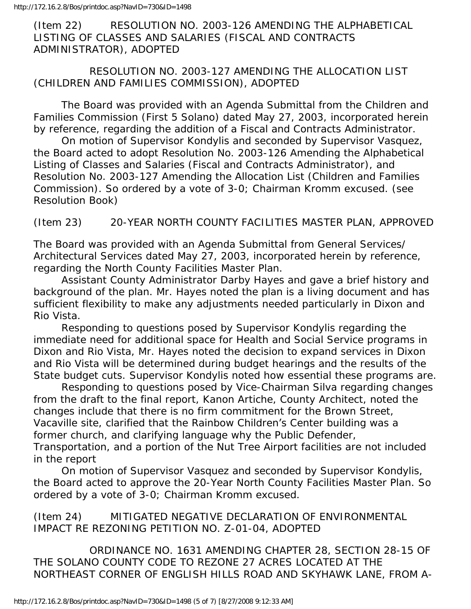(Item 22) RESOLUTION NO. 2003-126 AMENDING THE ALPHABETICAL LISTING OF CLASSES AND SALARIES (FISCAL AND CONTRACTS ADMINISTRATOR), ADOPTED

# RESOLUTION NO. 2003-127 AMENDING THE ALLOCATION LIST (CHILDREN AND FAMILIES COMMISSION), ADOPTED

 The Board was provided with an Agenda Submittal from the Children and Families Commission (First 5 Solano) dated May 27, 2003, incorporated herein by reference, regarding the addition of a Fiscal and Contracts Administrator.

 On motion of Supervisor Kondylis and seconded by Supervisor Vasquez, the Board acted to adopt Resolution No. 2003-126 Amending the Alphabetical Listing of Classes and Salaries (Fiscal and Contracts Administrator), and Resolution No. 2003-127 Amending the Allocation List (Children and Families Commission). So ordered by a vote of 3-0; Chairman Kromm excused. (see Resolution Book)

# (Item 23) 20-YEAR NORTH COUNTY FACILITIES MASTER PLAN, APPROVED

The Board was provided with an Agenda Submittal from General Services/ Architectural Services dated May 27, 2003, incorporated herein by reference, regarding the North County Facilities Master Plan.

 Assistant County Administrator Darby Hayes and gave a brief history and background of the plan. Mr. Hayes noted the plan is a living document and has sufficient flexibility to make any adjustments needed particularly in Dixon and Rio Vista.

 Responding to questions posed by Supervisor Kondylis regarding the immediate need for additional space for Health and Social Service programs in Dixon and Rio Vista, Mr. Hayes noted the decision to expand services in Dixon and Rio Vista will be determined during budget hearings and the results of the State budget cuts. Supervisor Kondylis noted how essential these programs are.

 Responding to questions posed by Vice-Chairman Silva regarding changes from the draft to the final report, Kanon Artiche, County Architect, noted the changes include that there is no firm commitment for the Brown Street, Vacaville site, clarified that the Rainbow Children's Center building was a former church, and clarifying language why the Public Defender, Transportation, and a portion of the Nut Tree Airport facilities are not included in the report

 On motion of Supervisor Vasquez and seconded by Supervisor Kondylis, the Board acted to approve the 20-Year North County Facilities Master Plan. So ordered by a vote of 3-0; Chairman Kromm excused.

# (Item 24) MITIGATED NEGATIVE DECLARATION OF ENVIRONMENTAL IMPACT RE REZONING PETITION NO. Z-01-04, ADOPTED

 ORDINANCE NO. 1631 AMENDING CHAPTER 28, SECTION 28-15 OF THE SOLANO COUNTY CODE TO REZONE 27 ACRES LOCATED AT THE NORTHEAST CORNER OF ENGLISH HILLS ROAD AND SKYHAWK LANE, FROM A-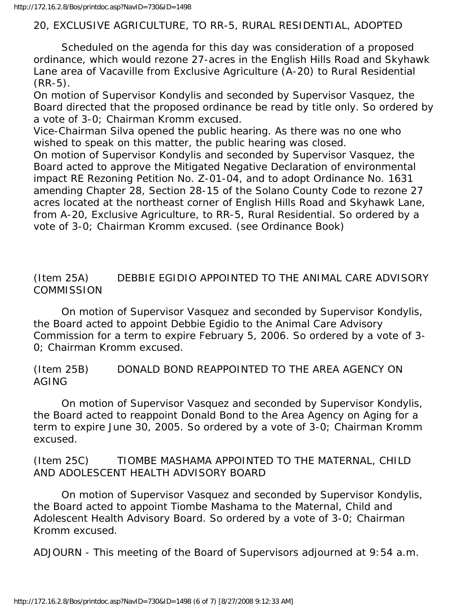# 20, EXCLUSIVE AGRICULTURE, TO RR-5, RURAL RESIDENTIAL, ADOPTED

 Scheduled on the agenda for this day was consideration of a proposed ordinance, which would rezone 27-acres in the English Hills Road and Skyhawk Lane area of Vacaville from Exclusive Agriculture (A-20) to Rural Residential (RR-5).

On motion of Supervisor Kondylis and seconded by Supervisor Vasquez, the Board directed that the proposed ordinance be read by title only. So ordered by a vote of 3-0; Chairman Kromm excused.

Vice-Chairman Silva opened the public hearing. As there was no one who wished to speak on this matter, the public hearing was closed.

On motion of Supervisor Kondylis and seconded by Supervisor Vasquez, the Board acted to approve the Mitigated Negative Declaration of environmental impact RE Rezoning Petition No. Z-01-04, and to adopt Ordinance No. 1631 amending Chapter 28, Section 28-15 of the Solano County Code to rezone 27 acres located at the northeast corner of English Hills Road and Skyhawk Lane, from A-20, Exclusive Agriculture, to RR-5, Rural Residential. So ordered by a vote of 3-0; Chairman Kromm excused. (see Ordinance Book)

(Item 25A) DEBBIE EGIDIO APPOINTED TO THE ANIMAL CARE ADVISORY **COMMISSION** 

 On motion of Supervisor Vasquez and seconded by Supervisor Kondylis, the Board acted to appoint Debbie Egidio to the Animal Care Advisory Commission for a term to expire February 5, 2006. So ordered by a vote of 3- 0; Chairman Kromm excused.

(Item 25B) DONALD BOND REAPPOINTED TO THE AREA AGENCY ON AGING

 On motion of Supervisor Vasquez and seconded by Supervisor Kondylis, the Board acted to reappoint Donald Bond to the Area Agency on Aging for a term to expire June 30, 2005. So ordered by a vote of 3-0; Chairman Kromm excused.

(Item 25C) TIOMBE MASHAMA APPOINTED TO THE MATERNAL, CHILD AND ADOLESCENT HEALTH ADVISORY BOARD

 On motion of Supervisor Vasquez and seconded by Supervisor Kondylis, the Board acted to appoint Tiombe Mashama to the Maternal, Child and Adolescent Health Advisory Board. So ordered by a vote of 3-0; Chairman Kromm excused.

ADJOURN - This meeting of the Board of Supervisors adjourned at 9:54 a.m.